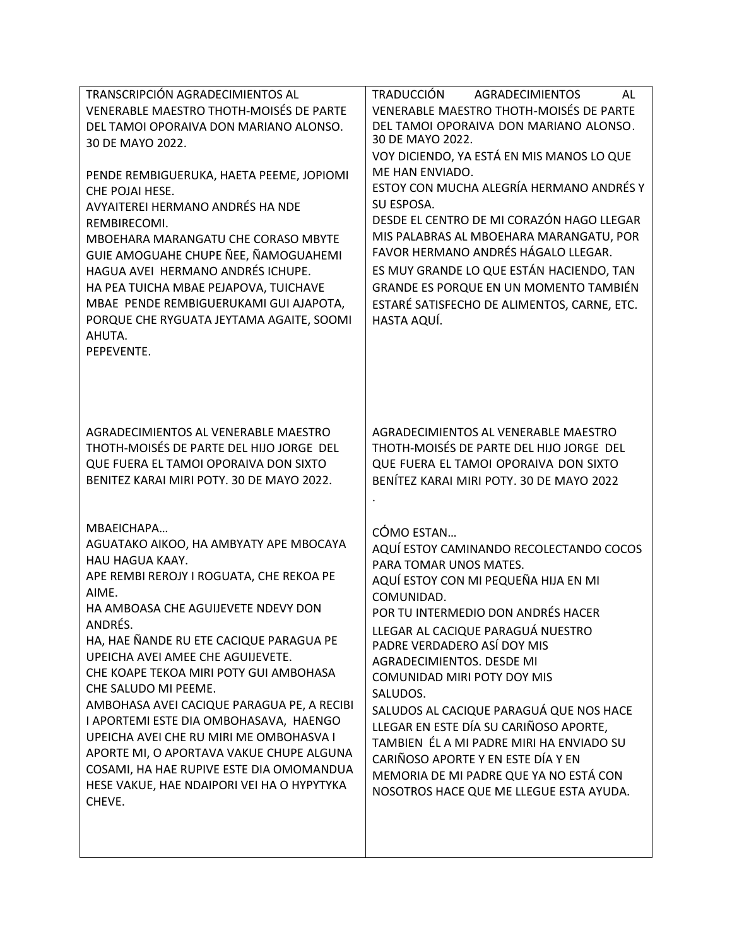| TRANSCRIPCIÓN AGRADECIMIENTOS AL<br>VENERABLE MAESTRO THOTH-MOISÉS DE PARTE<br>DEL TAMOI OPORAIVA DON MARIANO ALONSO.<br>30 DE MAYO 2022.<br>PENDE REMBIGUERUKA, HAETA PEEME, JOPIOMI<br>CHE POJAI HESE.<br>AVYAITEREI HERMANO ANDRÉS HA NDE<br>REMBIRECOMI.<br>MBOEHARA MARANGATU CHE CORASO MBYTE<br>GUIE AMOGUAHE CHUPE ÑEE, ÑAMOGUAHEMI<br>HAGUA AVEI HERMANO ANDRÉS ICHUPE.<br>HA PEA TUICHA MBAE PEJAPOVA, TUICHAVE<br>MBAE PENDE REMBIGUERUKAMI GUI AJAPOTA,<br>PORQUE CHE RYGUATA JEYTAMA AGAITE, SOOMI<br>AHUTA.<br>PEPEVENTE.                                                                             | <b>TRADUCCIÓN</b><br><b>AGRADECIMIENTOS</b><br>AL<br>VENERABLE MAESTRO THOTH-MOISÉS DE PARTE<br>DEL TAMOI OPORAIVA DON MARIANO ALONSO.<br>30 DE MAYO 2022.<br>VOY DICIENDO, YA ESTÁ EN MIS MANOS LO QUE<br>ME HAN ENVIADO.<br>ESTOY CON MUCHA ALEGRÍA HERMANO ANDRÉS Y<br>SU ESPOSA.<br>DESDE EL CENTRO DE MI CORAZÓN HAGO LLEGAR<br>MIS PALABRAS AL MBOEHARA MARANGATU, POR<br>FAVOR HERMANO ANDRÉS HÁGALO LLEGAR.<br>ES MUY GRANDE LO QUE ESTÁN HACIENDO, TAN<br>GRANDE ES PORQUE EN UN MOMENTO TAMBIÉN<br>ESTARÉ SATISFECHO DE ALIMENTOS, CARNE, ETC.<br>HASTA AQUÍ.             |
|---------------------------------------------------------------------------------------------------------------------------------------------------------------------------------------------------------------------------------------------------------------------------------------------------------------------------------------------------------------------------------------------------------------------------------------------------------------------------------------------------------------------------------------------------------------------------------------------------------------------|-------------------------------------------------------------------------------------------------------------------------------------------------------------------------------------------------------------------------------------------------------------------------------------------------------------------------------------------------------------------------------------------------------------------------------------------------------------------------------------------------------------------------------------------------------------------------------------|
| AGRADECIMIENTOS AL VENERABLE MAESTRO<br>THOTH-MOISÉS DE PARTE DEL HIJO JORGE DEL<br>QUE FUERA EL TAMOI OPORAIVA DON SIXTO<br>BENITEZ KARAI MIRI POTY. 30 DE MAYO 2022.                                                                                                                                                                                                                                                                                                                                                                                                                                              | AGRADECIMIENTOS AL VENERABLE MAESTRO<br>THOTH-MOISÉS DE PARTE DEL HIJO JORGE DEL<br>QUE FUERA EL TAMOI OPORAIVA DON SIXTO<br>BENÍTEZ KARAI MIRI POTY. 30 DE MAYO 2022                                                                                                                                                                                                                                                                                                                                                                                                               |
| MBAEICHAPA<br>AGUATAKO AIKOO, HA AMBYATY APE MBOCAYA<br>HAU HAGUA KAAY.<br>APE REMBI REROJY I ROGUATA, CHE REKOA PE<br>AIMF.<br>HA AMBOASA CHE AGUIJEVETE NDEVY DON<br>ANDRÉS.<br>HA, HAE ÑANDE RU ETE CACIQUE PARAGUA PE<br>UPEICHA AVEI AMEE CHE AGUIJEVETE.<br>CHE KOAPE TEKOA MIRI POTY GUI AMBOHASA<br>CHE SALUDO MI PEEME.<br>AMBOHASA AVEI CACIQUE PARAGUA PE, A RECIBI<br>I APORTEMI ESTE DIA OMBOHASAVA, HAENGO<br>UPEICHA AVEI CHE RU MIRI ME OMBOHASVA I<br>APORTE MI, O APORTAVA VAKUE CHUPE ALGUNA<br>COSAMI, HA HAE RUPIVE ESTE DIA OMOMANDUA<br>HESE VAKUE, HAE NDAIPORI VEI HA O HYPYTYKA<br>CHEVE. | CÓMO ESTAN<br>AQUÍ ESTOY CAMINANDO RECOLECTANDO COCOS<br>PARA TOMAR UNOS MATES.<br>AQUÍ ESTOY CON MI PEQUEÑA HIJA EN MI<br>COMUNIDAD.<br>POR TU INTERMEDIO DON ANDRÉS HACER<br>LLEGAR AL CACIQUE PARAGUÁ NUESTRO<br>PADRE VERDADERO ASÍ DOY MIS<br>AGRADECIMIENTOS. DESDE MI<br>COMUNIDAD MIRI POTY DOY MIS<br>SALUDOS.<br>SALUDOS AL CACIQUE PARAGUÁ QUE NOS HACE<br>LLEGAR EN ESTE DÍA SU CARIÑOSO APORTE,<br>TAMBIEN ÉL A MI PADRE MIRI HA ENVIADO SU<br>CARIÑOSO APORTE Y EN ESTE DÍA Y EN<br>MEMORIA DE MI PADRE QUE YA NO ESTÁ CON<br>NOSOTROS HACE QUE ME LLEGUE ESTA AYUDA. |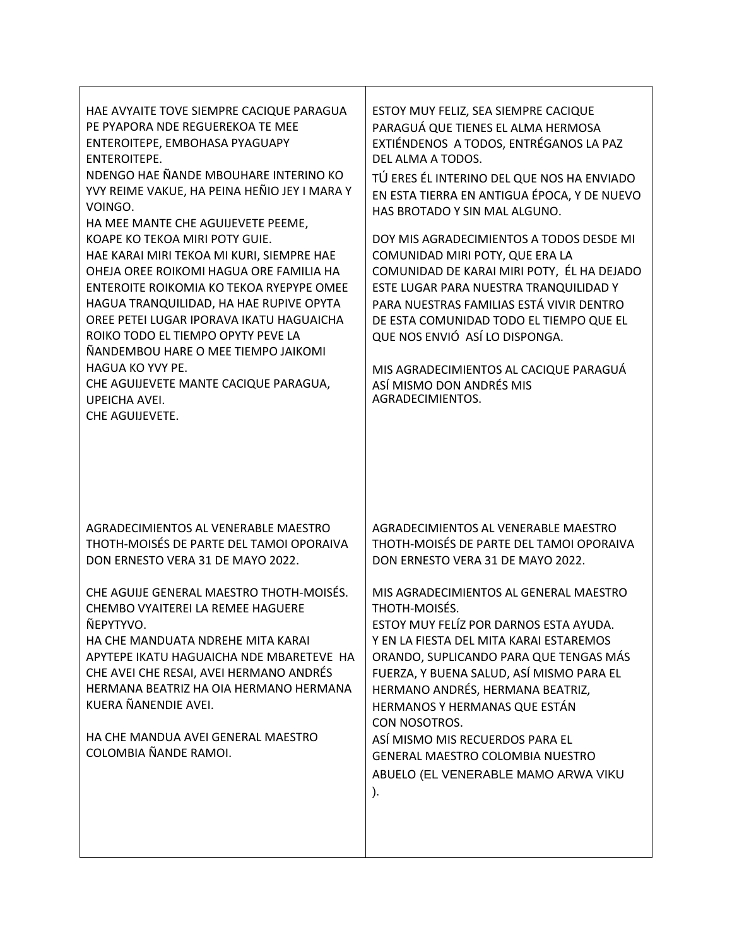| HAE AVYAITE TOVE SIEMPRE CACIQUE PARAGUA<br>PE PYAPORA NDE REGUEREKOA TE MEE<br>ENTEROITEPE, EMBOHASA PYAGUAPY<br>ENTEROITEPE.<br>NDENGO HAE ÑANDE MBOUHARE INTERINO KO<br>YVY REIME VAKUE, HA PEINA HEÑIO JEY I MARA Y<br>VOINGO.<br>HA MEE MANTE CHE AGUIJEVETE PEEME,<br>KOAPE KO TEKOA MIRI POTY GUIE.<br>HAE KARAI MIRI TEKOA MI KURI, SIEMPRE HAE<br>OHEJA OREE ROIKOMI HAGUA ORE FAMILIA HA<br>ENTEROITE ROIKOMIA KO TEKOA RYEPYPE OMEE<br>HAGUA TRANQUILIDAD, HA HAE RUPIVE OPYTA<br>OREE PETEI LUGAR IPORAVA IKATU HAGUAICHA<br>ROIKO TODO EL TIEMPO OPYTY PEVE LA<br>ÑANDEMBOU HARE O MEE TIEMPO JAIKOMI<br>HAGUA KO YVY PE.<br>CHE AGUIJEVETE MANTE CACIQUE PARAGUA,<br><b>UPEICHA AVEI.</b><br>CHE AGUIJEVETE. | ESTOY MUY FELIZ, SEA SIEMPRE CACIQUE<br>PARAGUÁ QUE TIENES EL ALMA HERMOSA<br>EXTIÉNDENOS A TODOS, ENTRÉGANOS LA PAZ<br>DEL ALMA A TODOS.<br>TÚ ERES ÉL INTERINO DEL QUE NOS HA ENVIADO<br>EN ESTA TIERRA EN ANTIGUA ÉPOCA, Y DE NUEVO<br>HAS BROTADO Y SIN MAL ALGUNO.<br>DOY MIS AGRADECIMIENTOS A TODOS DESDE MI<br>COMUNIDAD MIRI POTY, QUE ERA LA<br>COMUNIDAD DE KARAI MIRI POTY, ÉL HA DEJADO<br>ESTE LUGAR PARA NUESTRA TRANQUILIDAD Y<br>PARA NUESTRAS FAMILIAS ESTÁ VIVIR DENTRO<br>DE ESTA COMUNIDAD TODO EL TIEMPO QUE EL<br>QUE NOS ENVIÓ ASÍ LO DISPONGA.<br>MIS AGRADECIMIENTOS AL CACIQUE PARAGUÁ<br>ASÍ MISMO DON ANDRÉS MIS<br>AGRADECIMIENTOS. |
|----------------------------------------------------------------------------------------------------------------------------------------------------------------------------------------------------------------------------------------------------------------------------------------------------------------------------------------------------------------------------------------------------------------------------------------------------------------------------------------------------------------------------------------------------------------------------------------------------------------------------------------------------------------------------------------------------------------------------|-------------------------------------------------------------------------------------------------------------------------------------------------------------------------------------------------------------------------------------------------------------------------------------------------------------------------------------------------------------------------------------------------------------------------------------------------------------------------------------------------------------------------------------------------------------------------------------------------------------------------------------------------------------------|
| AGRADECIMIENTOS AL VENERABLE MAESTRO<br>THOTH-MOISÉS DE PARTE DEL TAMOI OPORAIVA<br>DON ERNESTO VERA 31 DE MAYO 2022.<br>CHE AGUIJE GENERAL MAESTRO THOTH-MOISÉS.<br>CHEMBO VYAITEREI LA REMEE HAGUERE<br>ÑEPYTYVO.<br>HA CHE MANDUATA NDREHE MITA KARAI<br>APYTEPE IKATU HAGUAICHA NDE MBARETEVE HA<br>CHE AVEI CHE RESAI, AVEI HERMANO ANDRÉS<br>HERMANA BEATRIZ HA OIA HERMANO HERMANA<br>KUERA ÑANENDIE AVEI.<br>HA CHE MANDUA AVEI GENERAL MAESTRO<br>COLOMBIA ÑANDE RAMOI.                                                                                                                                                                                                                                           | AGRADECIMIENTOS AL VENERABLE MAESTRO<br>THOTH-MOISÉS DE PARTE DEL TAMOI OPORAIVA<br>DON ERNESTO VERA 31 DE MAYO 2022.<br>MIS AGRADECIMIENTOS AL GENERAL MAESTRO<br>THOTH-MOISÉS.<br>ESTOY MUY FELÍZ POR DARNOS ESTA AYUDA.<br>Y EN LA FIESTA DEL MITA KARAI ESTAREMOS<br>ORANDO, SUPLICANDO PARA QUE TENGAS MÁS<br>FUERZA, Y BUENA SALUD, ASÍ MISMO PARA EL<br>HERMANO ANDRÉS, HERMANA BEATRIZ,<br>HERMANOS Y HERMANAS QUE ESTÁN<br>CON NOSOTROS.<br>ASÍ MISMO MIS RECUERDOS PARA EL<br>GENERAL MAESTRO COLOMBIA NUESTRO<br>ABUELO (EL VENERABLE MAMO ARWA VIKU<br>).                                                                                             |

Т

 $\Gamma$